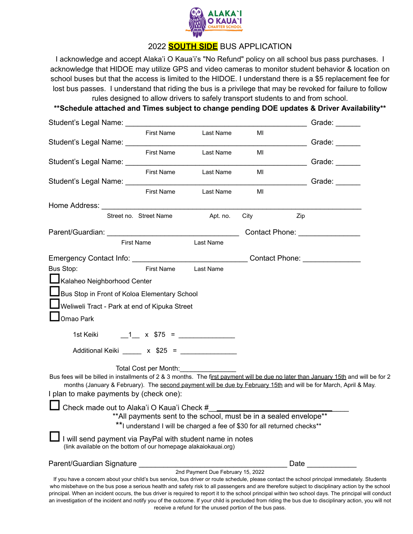

# 2022 **SOUTH SIDE** BUS APPLICATION

I acknowledge and accept Alaka'i O Kaua'i's "No Refund" policy on all school bus pass purchases. I acknowledge that HIDOE may utilize GPS and video cameras to monitor student behavior & location on school buses but that the access is limited to the HIDOE. I understand there is a \$5 replacement fee for lost bus passes. I understand that riding the bus is a privilege that may be revoked for failure to follow rules designed to allow drivers to safely transport students to and from school.

**\*\*Schedule attached and Times subject to change pending DOE updates & Driver Availability\*\***

|                                                                                                                            |                        |                                                                          |      | Grade: $\frac{1}{2}$                                                                                                                                                                                                                                                                                                                                                                                                                                                 |
|----------------------------------------------------------------------------------------------------------------------------|------------------------|--------------------------------------------------------------------------|------|----------------------------------------------------------------------------------------------------------------------------------------------------------------------------------------------------------------------------------------------------------------------------------------------------------------------------------------------------------------------------------------------------------------------------------------------------------------------|
|                                                                                                                            | <b>First Name</b>      | Last Name                                                                | MI   |                                                                                                                                                                                                                                                                                                                                                                                                                                                                      |
|                                                                                                                            |                        |                                                                          |      | Grade: ______                                                                                                                                                                                                                                                                                                                                                                                                                                                        |
|                                                                                                                            |                        | First Name Last Name                                                     | MI   | Grade:                                                                                                                                                                                                                                                                                                                                                                                                                                                               |
|                                                                                                                            |                        | First Name Last Name                                                     | MI   |                                                                                                                                                                                                                                                                                                                                                                                                                                                                      |
|                                                                                                                            |                        |                                                                          |      | <b>Canadian Canadian Canadian Canadian Canadian Canadian Canadian Canadian Canadian Canadian Canadian Canadian Ca</b>                                                                                                                                                                                                                                                                                                                                                |
|                                                                                                                            | <b>First Name</b>      | Last Name                                                                | MI   |                                                                                                                                                                                                                                                                                                                                                                                                                                                                      |
|                                                                                                                            |                        |                                                                          |      |                                                                                                                                                                                                                                                                                                                                                                                                                                                                      |
|                                                                                                                            | Street no. Street Name | Apt. no.                                                                 | City | Zip                                                                                                                                                                                                                                                                                                                                                                                                                                                                  |
|                                                                                                                            |                        |                                                                          |      |                                                                                                                                                                                                                                                                                                                                                                                                                                                                      |
|                                                                                                                            | <b>First Name</b>      | Last Name                                                                |      |                                                                                                                                                                                                                                                                                                                                                                                                                                                                      |
| Emergency Contact Info: __________________________________Contact Phone: ______________                                    |                        |                                                                          |      |                                                                                                                                                                                                                                                                                                                                                                                                                                                                      |
| Bus Stop:                                                                                                                  | First Name             | Last Name                                                                |      |                                                                                                                                                                                                                                                                                                                                                                                                                                                                      |
| Kalaheo Neighborhood Center                                                                                                |                        |                                                                          |      |                                                                                                                                                                                                                                                                                                                                                                                                                                                                      |
| Bus Stop in Front of Koloa Elementary School                                                                               |                        |                                                                          |      |                                                                                                                                                                                                                                                                                                                                                                                                                                                                      |
| Weliweli Tract - Park at end of Kipuka Street                                                                              |                        |                                                                          |      |                                                                                                                                                                                                                                                                                                                                                                                                                                                                      |
| $\bigsqcup$ Omao Park                                                                                                      |                        |                                                                          |      |                                                                                                                                                                                                                                                                                                                                                                                                                                                                      |
|                                                                                                                            |                        |                                                                          |      |                                                                                                                                                                                                                                                                                                                                                                                                                                                                      |
|                                                                                                                            |                        |                                                                          |      |                                                                                                                                                                                                                                                                                                                                                                                                                                                                      |
| Additional Keiki ______ x $$25 =$ _____________                                                                            |                        |                                                                          |      |                                                                                                                                                                                                                                                                                                                                                                                                                                                                      |
|                                                                                                                            | Total Cost per Month:  |                                                                          |      |                                                                                                                                                                                                                                                                                                                                                                                                                                                                      |
|                                                                                                                            |                        |                                                                          |      | Bus fees will be billed in installments of 2 & 3 months. The first payment will be due no later than January 15th and will be for 2                                                                                                                                                                                                                                                                                                                                  |
| I plan to make payments by (check one):                                                                                    |                        |                                                                          |      | months (January & February). The second payment will be due by February 15th and will be for March, April & May.                                                                                                                                                                                                                                                                                                                                                     |
|                                                                                                                            |                        |                                                                          |      |                                                                                                                                                                                                                                                                                                                                                                                                                                                                      |
| Check made out to Alaka'i O Kaua'i Check #                                                                                 |                        | ** All payments sent to the school, must be in a sealed envelope**       |      |                                                                                                                                                                                                                                                                                                                                                                                                                                                                      |
|                                                                                                                            |                        | **I understand I will be charged a fee of \$30 for all returned checks** |      |                                                                                                                                                                                                                                                                                                                                                                                                                                                                      |
| will send payment via PayPal with student name in notes<br>(link available on the bottom of our homepage alakaiokauai.org) |                        |                                                                          |      |                                                                                                                                                                                                                                                                                                                                                                                                                                                                      |
| Parent/Guardian Signature                                                                                                  |                        |                                                                          |      | Date                                                                                                                                                                                                                                                                                                                                                                                                                                                                 |
|                                                                                                                            |                        | 2nd Payment Due February 15, 2022                                        |      | If you have a concern about your child's bus service, bus driver or route schedule, please contact the school principal immediately. Students                                                                                                                                                                                                                                                                                                                        |
|                                                                                                                            |                        |                                                                          |      | who misbehave on the bus pose a serious health and safety risk to all passengers and are therefore subject to disciplinary action by the school<br>principal. When an incident occurs, the bus driver is required to report it to the school principal within two school days. The principal will conduct<br>an investigation of the incident and notify you of the outcome. If your child is precluded from riding the bus due to disciplinary action, you will not |

receive a refund for the unused portion of the bus pass.